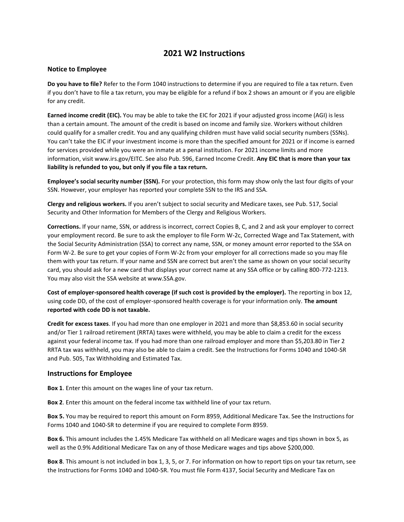## **2021 W2 Instructions**

## **Notice to Employee**

**Do you have to file?** Refer to the Form 1040 instructions to determine if you are required to file a tax return. Even if you don't have to file a tax return, you may be eligible for a refund if box 2 shows an amount or if you are eligible for any credit.

**Earned income credit (EIC).** You may be able to take the EIC for 2021 if your adjusted gross income (AGI) is less than a certain amount. The amount of the credit is based on income and family size. Workers without children could qualify for a smaller credit. You and any qualifying children must have valid social security numbers (SSNs). You can't take the EIC if your investment income is more than the specified amount for 2021 or if income is earned for services provided while you were an inmate at a penal institution. For 2021 income limits and more information, visit www.irs.gov/EITC. See also Pub. 596, Earned Income Credit. **Any EIC that is more than your tax liability is refunded to you, but only if you file a tax return.**

**Employee's social security number (SSN).** For your protection, this form may show only the last four digits of your SSN. However, your employer has reported your complete SSN to the IRS and SSA.

**Clergy and religious workers.** If you aren't subject to social security and Medicare taxes, see Pub. 517, Social Security and Other Information for Members of the Clergy and Religious Workers.

**Corrections.** If your name, SSN, or address is incorrect, correct Copies B, C, and 2 and ask your employer to correct your employment record. Be sure to ask the employer to file Form W-2c, Corrected Wage and Tax Statement, with the Social Security Administration (SSA) to correct any name, SSN, or money amount error reported to the SSA on Form W-2. Be sure to get your copies of Form W-2c from your employer for all corrections made so you may file them with your tax return. If your name and SSN are correct but aren't the same as shown on your social security card, you should ask for a new card that displays your correct name at any SSA office or by calling 800-772-1213. You may also visit the SSA website at www.SSA.gov.

**Cost of employer-sponsored health coverage (if such cost is provided by the employer).** The reporting in box 12, using code DD, of the cost of employer-sponsored health coverage is for your information only. **The amount reported with code DD is not taxable.**

**Credit for excess taxes**. If you had more than one employer in 2021 and more than \$8,853.60 in social security and/or Tier 1 railroad retirement (RRTA) taxes were withheld, you may be able to claim a credit for the excess against your federal income tax. If you had more than one railroad employer and more than \$5,203.80 in Tier 2 RRTA tax was withheld, you may also be able to claim a credit. See the Instructions for Forms 1040 and 1040-SR and Pub. 505, Tax Withholding and Estimated Tax.

## **Instructions for Employee**

**Box 1**. Enter this amount on the wages line of your tax return.

**Box 2**. Enter this amount on the federal income tax withheld line of your tax return.

**Box 5.** You may be required to report this amount on Form 8959, Additional Medicare Tax. See the Instructions for Forms 1040 and 1040-SR to determine if you are required to complete Form 8959.

**Box 6.** This amount includes the 1.45% Medicare Tax withheld on all Medicare wages and tips shown in box 5, as well as the 0.9% Additional Medicare Tax on any of those Medicare wages and tips above \$200,000.

**Box 8**. This amount is not included in box 1, 3, 5, or 7. For information on how to report tips on your tax return, see the Instructions for Forms 1040 and 1040-SR. You must file Form 4137, Social Security and Medicare Tax on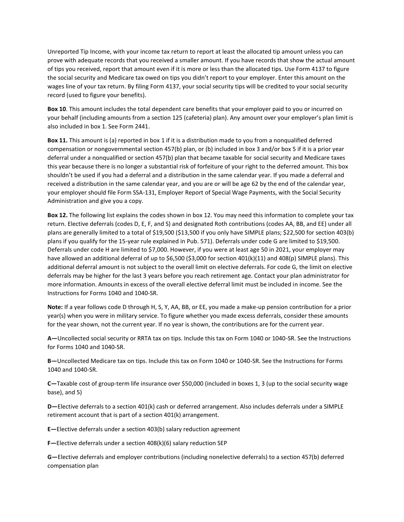Unreported Tip Income, with your income tax return to report at least the allocated tip amount unless you can prove with adequate records that you received a smaller amount. If you have records that show the actual amount of tips you received, report that amount even if it is more or less than the allocated tips. Use Form 4137 to figure the social security and Medicare tax owed on tips you didn't report to your employer. Enter this amount on the wages line of your tax return. By filing Form 4137, your social security tips will be credited to your social security record (used to figure your benefits).

**Box 10**. This amount includes the total dependent care benefits that your employer paid to you or incurred on your behalf (including amounts from a section 125 (cafeteria) plan). Any amount over your employer's plan limit is also included in box 1. See Form 2441.

**Box 11.** This amount is (a) reported in box 1 if it is a distribution made to you from a nonqualified deferred compensation or nongovernmental section 457(b) plan, or (b) included in box 3 and/or box 5 if it is a prior year deferral under a nonqualified or section 457(b) plan that became taxable for social security and Medicare taxes this year because there is no longer a substantial risk of forfeiture of your right to the deferred amount. This box shouldn't be used if you had a deferral and a distribution in the same calendar year. If you made a deferral and received a distribution in the same calendar year, and you are or will be age 62 by the end of the calendar year, your employer should file Form SSA-131, Employer Report of Special Wage Payments, with the Social Security Administration and give you a copy.

**Box 12.** The following list explains the codes shown in box 12. You may need this information to complete your tax return. Elective deferrals (codes D, E, F, and S) and designated Roth contributions (codes AA, BB, and EE) under all plans are generally limited to a total of \$19,500 (\$13,500 if you only have SIMPLE plans; \$22,500 for section 403(b) plans if you qualify for the 15-year rule explained in Pub. 571). Deferrals under code G are limited to \$19,500. Deferrals under code H are limited to \$7,000. However, if you were at least age 50 in 2021, your employer may have allowed an additional deferral of up to \$6,500 (\$3,000 for section 401(k)(11) and 408(p) SIMPLE plans). This additional deferral amount is not subject to the overall limit on elective deferrals. For code G, the limit on elective deferrals may be higher for the last 3 years before you reach retirement age. Contact your plan administrator for more information. Amounts in excess of the overall elective deferral limit must be included in income. See the Instructions for Forms 1040 and 1040-SR.

**Note:** If a year follows code D through H, S, Y, AA, BB, or EE, you made a make-up pension contribution for a prior year(s) when you were in military service. To figure whether you made excess deferrals, consider these amounts for the year shown, not the current year. If no year is shown, the contributions are for the current year.

**A—**Uncollected social security or RRTA tax on tips. Include this tax on Form 1040 or 1040-SR. See the Instructions for Forms 1040 and 1040-SR.

**B—**Uncollected Medicare tax on tips. Include this tax on Form 1040 or 1040-SR. See the Instructions for Forms 1040 and 1040-SR.

**C—**Taxable cost of group-term life insurance over \$50,000 (included in boxes 1, 3 (up to the social security wage base), and 5)

**D—**Elective deferrals to a section 401(k) cash or deferred arrangement. Also includes deferrals under a SIMPLE retirement account that is part of a section 401(k) arrangement.

**E—**Elective deferrals under a section 403(b) salary reduction agreement

**F—**Elective deferrals under a section 408(k)(6) salary reduction SEP

**G—**Elective deferrals and employer contributions (including nonelective deferrals) to a section 457(b) deferred compensation plan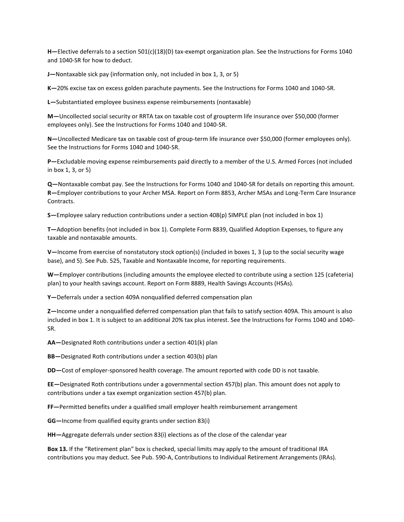**H—**Elective deferrals to a section 501(c)(18)(D) tax-exempt organization plan. See the Instructions for Forms 1040 and 1040-SR for how to deduct.

**J—**Nontaxable sick pay (information only, not included in box 1, 3, or 5)

**K—**20% excise tax on excess golden parachute payments. See the Instructions for Forms 1040 and 1040-SR.

**L—**Substantiated employee business expense reimbursements (nontaxable)

**M—**Uncollected social security or RRTA tax on taxable cost of groupterm life insurance over \$50,000 (former employees only). See the Instructions for Forms 1040 and 1040-SR.

**N—**Uncollected Medicare tax on taxable cost of group-term life insurance over \$50,000 (former employees only). See the Instructions for Forms 1040 and 1040-SR.

**P—**Excludable moving expense reimbursements paid directly to a member of the U.S. Armed Forces (not included in box 1, 3, or 5)

**Q—**Nontaxable combat pay. See the Instructions for Forms 1040 and 1040-SR for details on reporting this amount. **R—**Employer contributions to your Archer MSA. Report on Form 8853, Archer MSAs and Long-Term Care Insurance Contracts.

**S—**Employee salary reduction contributions under a section 408(p) SIMPLE plan (not included in box 1)

**T—**Adoption benefits (not included in box 1). Complete Form 8839, Qualified Adoption Expenses, to figure any taxable and nontaxable amounts.

**V—**Income from exercise of nonstatutory stock option(s) (included in boxes 1, 3 (up to the social security wage base), and 5). See Pub. 525, Taxable and Nontaxable Income, for reporting requirements.

**W—**Employer contributions (including amounts the employee elected to contribute using a section 125 (cafeteria) plan) to your health savings account. Report on Form 8889, Health Savings Accounts (HSAs).

**Y—**Deferrals under a section 409A nonqualified deferred compensation plan

**Z—**Income under a nonqualified deferred compensation plan that fails to satisfy section 409A. This amount is also included in box 1. It is subject to an additional 20% tax plus interest. See the Instructions for Forms 1040 and 1040- SR.

**AA—**Designated Roth contributions under a section 401(k) plan

**BB—**Designated Roth contributions under a section 403(b) plan

**DD—**Cost of employer-sponsored health coverage. The amount reported with code DD is not taxable.

**EE—**Designated Roth contributions under a governmental section 457(b) plan. This amount does not apply to contributions under a tax exempt organization section 457(b) plan.

**FF—**Permitted benefits under a qualified small employer health reimbursement arrangement

**GG—**Income from qualified equity grants under section 83(i)

**HH—**Aggregate deferrals under section 83(i) elections as of the close of the calendar year

**Box 13.** If the "Retirement plan" box is checked, special limits may apply to the amount of traditional IRA contributions you may deduct. See Pub. 590-A, Contributions to Individual Retirement Arrangements (IRAs).